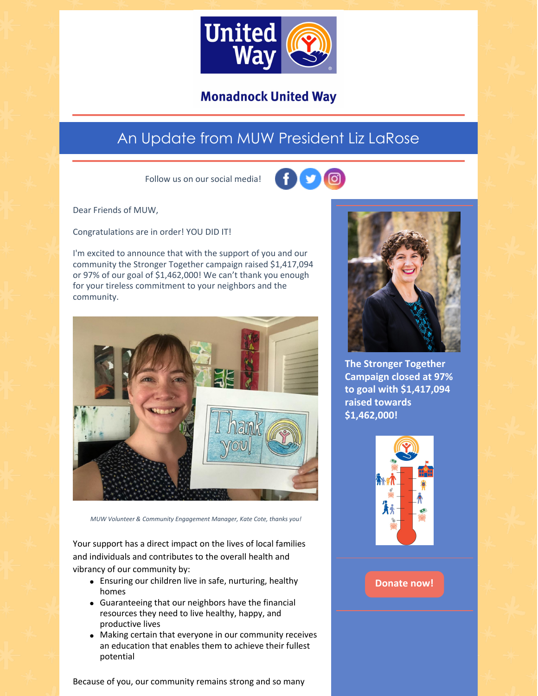

**Monadnock United Way** 

## An Update from MUW President Liz LaRose

Follow us on our social media!



Dear Friends of MUW,

Congratulations are in order! YOU DID IT!

I'm excited to announce that with the support of you and our community the Stronger Together campaign raised \$1,417,094 or 97% of our goal of \$1,462,000! We can't thank you enough for your tireless commitment to your neighbors and the community.



*MUW Volunteer & Community Engagement Manager, Kate Cote, thanks you!*

Your support has a direct impact on the lives of local families and individuals and contributes to the overall health and vibrancy of our community by:

- Ensuring our children live in safe, nurturing, healthy homes
- Guaranteeing that our neighbors have the financial resources they need to live healthy, happy, and productive lives
- Making certain that everyone in our community receives an education that enables them to achieve their fullest potential





**The Stronger Together Campaign closed at 97% to goal with \$1,417,094 raised towards \$1,462,000!**



## **[Donate](https://app.mobilecause.com/form/ZRKvlQ?reset=1&%253Bid=1&vid=oi7n5) now!**